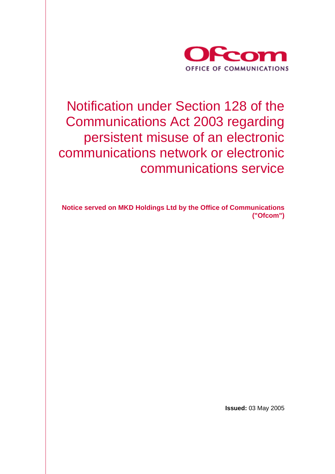

Notification under Section 128 of the Communications Act 2003 regarding persistent misuse of an electronic communications network or electronic communications service

**Notice served on MKD Holdings Ltd by the Office of Communications ("Ofcom")** 

**Issued:** 03 May 2005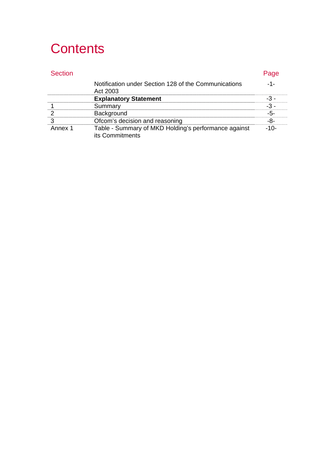# **Contents**

|        | Notification under Section 128 of the Communications<br>Act 2003        |  |
|--------|-------------------------------------------------------------------------|--|
|        | <b>Explanatory Statement</b>                                            |  |
|        |                                                                         |  |
|        |                                                                         |  |
|        | Ofcom's decision and reasoning                                          |  |
| nnex 1 | Table - Summary of MKD Holding's performance against<br>its Commitments |  |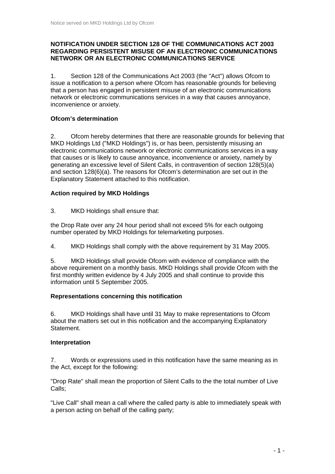#### **NOTIFICATION UNDER SECTION 128 OF THE COMMUNICATIONS ACT 2003 REGARDING PERSISTENT MISUSE OF AN ELECTRONIC COMMUNICATIONS NETWORK OR AN ELECTRONIC COMMUNICATIONS SERVICE**

1. Section 128 of the Communications Act 2003 (the "Act") allows Ofcom to issue a notification to a person where Ofcom has reasonable grounds for believing that a person has engaged in persistent misuse of an electronic communications network or electronic communications services in a way that causes annoyance, inconvenience or anxiety.

### **Ofcom's determination**

2. Ofcom hereby determines that there are reasonable grounds for believing that MKD Holdings Ltd ("MKD Holdings") is, or has been, persistently misusing an electronic communications network or electronic communications services in a way that causes or is likely to cause annoyance, inconvenience or anxiety, namely by generating an excessive level of Silent Calls, in contravention of section 128(5)(a) and section 128(6)(a). The reasons for Ofcom's determination are set out in the Explanatory Statement attached to this notification.

### **Action required by MKD Holdings**

3. MKD Holdings shall ensure that:

the Drop Rate over any 24 hour period shall not exceed 5% for each outgoing number operated by MKD Holdings for telemarketing purposes.

4. MKD Holdings shall comply with the above requirement by 31 May 2005.

5. MKD Holdings shall provide Ofcom with evidence of compliance with the above requirement on a monthly basis. MKD Holdings shall provide Ofcom with the first monthly written evidence by 4 July 2005 and shall continue to provide this information until 5 September 2005.

### **Representations concerning this notification**

6. MKD Holdings shall have until 31 May to make representations to Ofcom about the matters set out in this notification and the accompanying Explanatory Statement.

### **Interpretation**

7. Words or expressions used in this notification have the same meaning as in the Act, except for the following:

"Drop Rate" shall mean the proportion of Silent Calls to the the total number of Live Calls;

"Live Call" shall mean a call where the called party is able to immediately speak with a person acting on behalf of the calling party;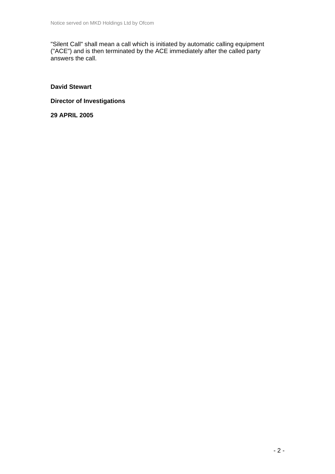"Silent Call" shall mean a call which is initiated by automatic calling equipment ("ACE") and is then terminated by the ACE immediately after the called party answers the call.

**David Stewart** 

**Director of Investigations** 

**29 APRIL 2005**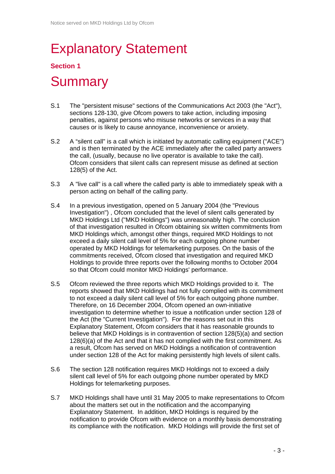# Explanatory Statement

### **Section 1**

## **Summary**

- S.1 The "persistent misuse" sections of the Communications Act 2003 (the "Act"), sections 128-130, give Ofcom powers to take action, including imposing penalties, against persons who misuse networks or services in a way that causes or is likely to cause annoyance, inconvenience or anxiety.
- S.2 A "silent call" is a call which is initiated by automatic calling equipment ("ACE") and is then terminated by the ACE immediately after the called party answers the call, (usually, because no live operator is available to take the call). Ofcom considers that silent calls can represent misuse as defined at section 128(5) of the Act.
- S.3 A "live call" is a call where the called party is able to immediately speak with a person acting on behalf of the calling party.
- S.4 In a previous investigation, opened on 5 January 2004 (the "Previous Investigation") , Ofcom concluded that the level of silent calls generated by MKD Holdings Ltd ("MKD Holdings") was unreasonably high. The conclusion of that investigation resulted in Ofcom obtaining six written commitments from MKD Holdings which, amongst other things, required MKD Holdings to not exceed a daily silent call level of 5% for each outgoing phone number operated by MKD Holdings for telemarketing purposes. On the basis of the commitments received, Ofcom closed that investigation and required MKD Holdings to provide three reports over the following months to October 2004 so that Ofcom could monitor MKD Holdings' performance.
- S.5 Ofcom reviewed the three reports which MKD Holdings provided to it. The reports showed that MKD Holdings had not fully complied with its commitment to not exceed a daily silent call level of 5% for each outgoing phone number. Therefore, on 16 December 2004, Ofcom opened an own-initiative investigation to determine whether to issue a notification under section 128 of the Act (the "Current Investigation"). For the reasons set out in this Explanatory Statement, Ofcom considers that it has reasonable grounds to believe that MKD Holdings is in contravention of section 128(5)(a) and section 128(6)(a) of the Act and that it has not complied with the first commitment. As a result, Ofcom has served on MKD Holdings a notification of contravention under section 128 of the Act for making persistently high levels of silent calls.
- S.6 The section 128 notification requires MKD Holdings not to exceed a daily silent call level of 5% for each outgoing phone number operated by MKD Holdings for telemarketing purposes.
- S.7 MKD Holdings shall have until 31 May 2005 to make representations to Ofcom about the matters set out in the notification and the accompanying Explanatory Statement. In addition, MKD Holdings is required by the notification to provide Ofcom with evidence on a monthly basis demonstrating its compliance with the notification. MKD Holdings will provide the first set of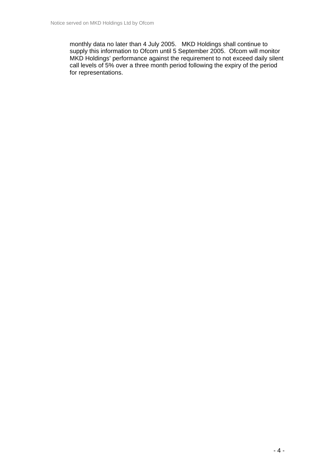monthly data no later than 4 July 2005. MKD Holdings shall continue to supply this information to Ofcom until 5 September 2005. Ofcom will monitor MKD Holdings' performance against the requirement to not exceed daily silent call levels of 5% over a three month period following the expiry of the period for representations.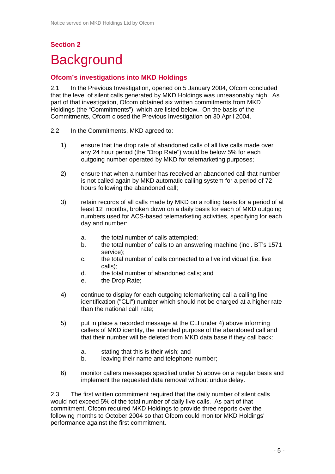### **Section 2 Background**

### **Ofcom's investigations into MKD Holdings**

2.1 In the Previous Investigation, opened on 5 January 2004, Ofcom concluded that the level of silent calls generated by MKD Holdings was unreasonably high. As part of that investigation, Ofcom obtained six written commitments from MKD Holdings (the "Commitments"), which are listed below. On the basis of the Commitments, Ofcom closed the Previous Investigation on 30 April 2004.

- 2.2 In the Commitments, MKD agreed to:
	- 1) ensure that the drop rate of abandoned calls of all live calls made over any 24 hour period (the "Drop Rate") would be below 5% for each outgoing number operated by MKD for telemarketing purposes;
	- 2) ensure that when a number has received an abandoned call that number is not called again by MKD automatic calling system for a period of 72 hours following the abandoned call;
	- 3) retain records of all calls made by MKD on a rolling basis for a period of at least 12 months, broken down on a daily basis for each of MKD outgoing numbers used for ACS-based telemarketing activities, specifying for each day and number:
		- a. the total number of calls attempted;
		- b. the total number of calls to an answering machine (incl. BT's 1571 service);
		- c. the total number of calls connected to a live individual (i.e. live calls);
		- d. the total number of abandoned calls; and
		- e. the Drop Rate;
	- 4) continue to display for each outgoing telemarketing call a calling line identification ("CLI") number which should not be charged at a higher rate than the national call rate;
	- 5) put in place a recorded message at the CLI under 4) above informing callers of MKD identity, the intended purpose of the abandoned call and that their number will be deleted from MKD data base if they call back:
		- a. stating that this is their wish; and
		- b. leaving their name and telephone number;
	- 6) monitor callers messages specified under 5) above on a regular basis and implement the requested data removal without undue delay.

2.3 The first written commitment required that the daily number of silent calls would not exceed 5% of the total number of daily live calls. As part of that commitment, Ofcom required MKD Holdings to provide three reports over the following months to October 2004 so that Ofcom could monitor MKD Holdings' performance against the first commitment.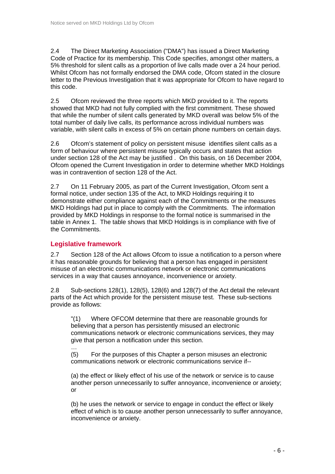2.4 The Direct Marketing Association ("DMA") has issued a Direct Marketing Code of Practice for its membership. This Code specifies, amongst other matters, a 5% threshold for silent calls as a proportion of live calls made over a 24 hour period. Whilst Ofcom has not formally endorsed the DMA code, Ofcom stated in the closure letter to the Previous Investigation that it was appropriate for Ofcom to have regard to this code.

2.5 Ofcom reviewed the three reports which MKD provided to it. The reports showed that MKD had not fully complied with the first commitment. These showed that while the number of silent calls generated by MKD overall was below 5% of the total number of daily live calls, its performance across individual numbers was variable, with silent calls in excess of 5% on certain phone numbers on certain days.

2.6 Ofcom's statement of policy on persistent misuse identifies silent calls as a form of behaviour where persistent misuse typically occurs and states that action under section 128 of the Act may be justified . On this basis, on 16 December 2004, Ofcom opened the Current Investigation in order to determine whether MKD Holdings was in contravention of section 128 of the Act.

2.7 On 11 February 2005, as part of the Current Investigation, Ofcom sent a formal notice, under section 135 of the Act, to MKD Holdings requiring it to demonstrate either compliance against each of the Commitments or the measures MKD Holdings had put in place to comply with the Commitments. The information provided by MKD Holdings in response to the formal notice is summarised in the table in Annex 1. The table shows that MKD Holdings is in compliance with five of the Commitments.

### **Legislative framework**

2.7 Section 128 of the Act allows Ofcom to issue a notification to a person where it has reasonable grounds for believing that a person has engaged in persistent misuse of an electronic communications network or electronic communications services in a way that causes annoyance, inconvenience or anxiety.

2.8 Sub-sections 128(1), 128(5), 128(6) and 128(7) of the Act detail the relevant parts of the Act which provide for the persistent misuse test. These sub-sections provide as follows:

"(1) Where OFCOM determine that there are reasonable grounds for believing that a person has persistently misused an electronic communications network or electronic communications services, they may give that person a notification under this section.

… (5) For the purposes of this Chapter a person misuses an electronic communications network or electronic communications service if--

(a) the effect or likely effect of his use of the network or service is to cause another person unnecessarily to suffer annoyance, inconvenience or anxiety; or

(b) he uses the network or service to engage in conduct the effect or likely effect of which is to cause another person unnecessarily to suffer annoyance, inconvenience or anxiety.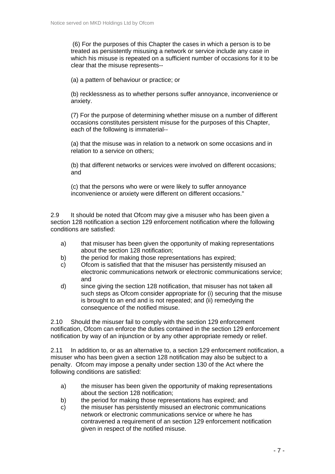(6) For the purposes of this Chapter the cases in which a person is to be treated as persistently misusing a network or service include any case in which his misuse is repeated on a sufficient number of occasions for it to be clear that the misuse represents--

(a) a pattern of behaviour or practice; or

(b) recklessness as to whether persons suffer annoyance, inconvenience or anxiety.

(7) For the purpose of determining whether misuse on a number of different occasions constitutes persistent misuse for the purposes of this Chapter, each of the following is immaterial--

(a) that the misuse was in relation to a network on some occasions and in relation to a service on others;

(b) that different networks or services were involved on different occasions; and

(c) that the persons who were or were likely to suffer annoyance inconvenience or anxiety were different on different occasions."

2.9 It should be noted that Ofcom may give a misuser who has been given a section 128 notification a section 129 enforcement notification where the following conditions are satisfied:

- a) that misuser has been given the opportunity of making representations about the section 128 notification;
- b) the period for making those representations has expired;
- c) Ofcom is satisfied that that the misuser has persistently misused an electronic communications network or electronic communications service; and
- d) since giving the section 128 notification, that misuser has not taken all such steps as Ofcom consider appropriate for (i) securing that the misuse is brought to an end and is not repeated; and (ii) remedying the consequence of the notified misuse.

2.10 Should the misuser fail to comply with the section 129 enforcement notification, Ofcom can enforce the duties contained in the section 129 enforcement notification by way of an injunction or by any other appropriate remedy or relief.

2.11 In addition to, or as an alternative to, a section 129 enforcement notification, a misuser who has been given a section 128 notification may also be subject to a penalty. Ofcom may impose a penalty under section 130 of the Act where the following conditions are satisfied:

- a) the misuser has been given the opportunity of making representations about the section 128 notification;
- b) the period for making those representations has expired; and
- c) the misuser has persistently misused an electronic communications network or electronic communications service or where he has contravened a requirement of an section 129 enforcement notification given in respect of the notified misuse.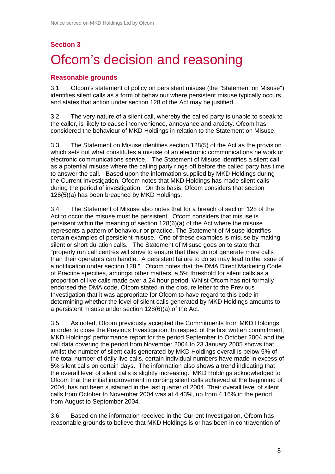### **Section 3**

# Ofcom's decision and reasoning

### **Reasonable grounds**

3.1 Ofcom's statement of policy on persistent misuse (the "Statement on Misuse") identifies silent calls as a form of behaviour where persistent misuse typically occurs and states that action under section 128 of the Act may be justified .

3.2 The very nature of a silent call, whereby the called party is unable to speak to the caller, is likely to cause inconvenience, annoyance and anxiety. Ofcom has considered the behaviour of MKD Holdings in relation to the Statement on Misuse.

3.3 The Statement on Misuse identifies section 128(5) of the Act as the provision which sets out what constitutes a misuse of an electronic communications network or electronic communications service. The Statement of Misuse identifies a silent call as a potential misuse where the calling party rings off before the called party has time to answer the call. Based upon the information supplied by MKD Holdings during the Current Investigation, Ofcom notes that MKD Holdings has made silent calls during the period of investigation. On this basis, Ofcom considers that section 128(5)(a) has been breached by MKD Holdings.

3.4 The Statement of Misuse also notes that for a breach of section 128 of the Act to occur the misuse must be persistent. Ofcom considers that misuse is persisent within the meaning of section 128(6)(a) of the Act where the misuse represents a pattern of behaviour or practice. The Statement of Misuse identifies certain examples of persisient misuse. One of these examples is misuse by making silent or short duration calls. The Statement of Misuse goes on to state that "properly run call centres will strive to ensure that they do not generate more calls than their operators can handle. A persistent failure to do so may lead to the issue of a notification under section 128." Ofcom notes that the DMA Direct Marketing Code of Practice specifies, amongst other matters, a 5% threshold for silent calls as a proportion of live calls made over a 24 hour period. Whilst Ofcom has not formally endorsed the DMA code, Ofcom stated in the closure letter to the Previous Investigation that it was appropriate for Ofcom to have regard to this code in determining whether the level of silent calls generated by MKD Holdings amounts to a persistent misuse under section 128(6)(a) of the Act.

3.5 As noted, Ofcom previously accepted the Commitments from MKD Holdings in order to close the Previous Investigation. In respect of the first written commitment, MKD Holdings' performance report for the period September to October 2004 and the call data covering the period from November 2004 to 23 January 2005 shows that whilst the number of silent calls generated by MKD Holdings overall is below 5% of the total number of daily live calls, certain individual numbers have made in excess of 5% silent calls on certain days. The information also shows a trend indicating that the overall level of silent calls is slightly increasing. MKD Holdings acknowledged to Ofcom that the initial improvement in curbing silent calls achieved at the beginning of 2004, has not been sustained in the last quarter of 2004. Their overall level of silent calls from October to November 2004 was at 4.43%, up from 4.16% in the period from August to September 2004.

3.6 Based on the information received in the Current Investigation, Ofcom has reasonable grounds to believe that MKD Holdings is or has been in contravention of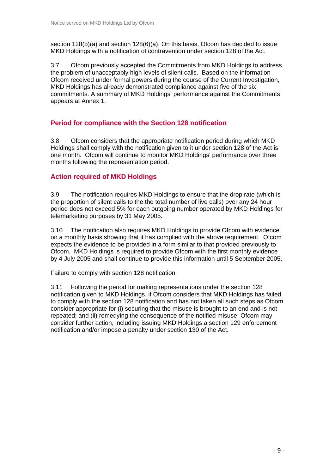section 128(5)(a) and section 128(6)(a). On this basis, Ofcom has decided to issue MKD Holdings with a notification of contravention under section 128 of the Act.

3.7 Ofcom previously accepted the Commitments from MKD Holdings to address the problem of unacceptably high levels of silent calls. Based on the information Ofcom received under formal powers during the course of the Current Investigation, MKD Holdings has already demonstrated compliance against five of the six commitments. A summary of MKD Holdings' performance against the Commitments appears at Annex 1.

### **Period for compliance with the Section 128 notification**

3.8 Ofcom considers that the appropriate notification period during which MKD Holdings shall comply with the notification given to it under section 128 of the Act is one month. Ofcom will continue to monitor MKD Holdings' performance over three months following the representation period.

### **Action required of MKD Holdings**

3.9 The notification requires MKD Holdings to ensure that the drop rate (which is the proportion of silent calls to the the total number of live calls) over any 24 hour period does not exceed 5% for each outgoing number operated by MKD Holdings for telemarketing purposes by 31 May 2005.

3.10 The notification also requires MKD Holdings to provide Ofcom with evidence on a monthly basis showing that it has complied with the above requirement. Ofcom expects the evidence to be provided in a form similar to that provided previously to Ofcom. MKD Holdings is required to provide Ofcom with the first monthly evidence by 4 July 2005 and shall continue to provide this information until 5 September 2005.

Failure to comply with section 128 notification

3.11 Following the period for making representations under the section 128 notification given to MKD Holdings, if Ofcom considers that MKD Holdings has failed to comply with the section 128 notification and has not taken all such steps as Ofcom consider appropriate for (i) securing that the misuse is brought to an end and is not repeated; and (ii) remedying the consequence of the notified misuse, Ofcom may consider further action, including issuing MKD Holdings a section 129 enforcement notification and/or impose a penalty under section 130 of the Act.